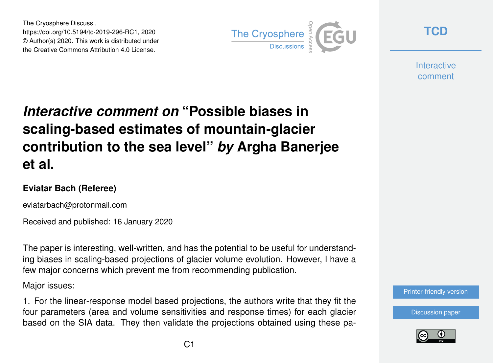The Cryosphere Discuss., https://doi.org/10.5194/tc-2019-296-RC1, 2020 © Author(s) 2020. This work is distributed under the Creative Commons Attribution 4.0 License.



**[TCD](https://www.the-cryosphere-discuss.net/)**

**Interactive** comment

## *Interactive comment on* **"Possible biases in scaling-based estimates of mountain-glacier contribution to the sea level"** *by* **Argha Banerjee et al.**

## **Eviatar Bach (Referee)**

eviatarbach@protonmail.com

Received and published: 16 January 2020

The paper is interesting, well-written, and has the potential to be useful for understanding biases in scaling-based projections of glacier volume evolution. However, I have a few major concerns which prevent me from recommending publication.

Major issues:

1. For the linear-response model based projections, the authors write that they fit the four parameters (area and volume sensitivities and response times) for each glacier based on the SIA data. They then validate the projections obtained using these pa-



[Discussion paper](https://www.the-cryosphere-discuss.net/tc-2019-296)

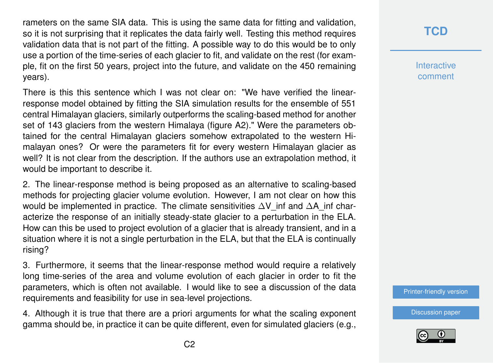rameters on the same SIA data. This is using the same data for fitting and validation, so it is not surprising that it replicates the data fairly well. Testing this method requires validation data that is not part of the fitting. A possible way to do this would be to only use a portion of the time-series of each glacier to fit, and validate on the rest (for example, fit on the first 50 years, project into the future, and validate on the 450 remaining years).

There is this this sentence which I was not clear on: "We have verified the linearresponse model obtained by fitting the SIA simulation results for the ensemble of 551 central Himalayan glaciers, similarly outperforms the scaling-based method for another set of 143 glaciers from the western Himalaya (figure A2)." Were the parameters obtained for the central Himalayan glaciers somehow extrapolated to the western Himalayan ones? Or were the parameters fit for every western Himalayan glacier as well? It is not clear from the description. If the authors use an extrapolation method, it would be important to describe it.

2. The linear-response method is being proposed as an alternative to scaling-based methods for projecting glacier volume evolution. However, I am not clear on how this would be implemented in practice. The climate sensitivities ∆V inf and ∆A\_inf characterize the response of an initially steady-state glacier to a perturbation in the ELA. How can this be used to project evolution of a glacier that is already transient, and in a situation where it is not a single perturbation in the ELA, but that the ELA is continually rising?

3. Furthermore, it seems that the linear-response method would require a relatively long time-series of the area and volume evolution of each glacier in order to fit the parameters, which is often not available. I would like to see a discussion of the data requirements and feasibility for use in sea-level projections.

4. Although it is true that there are a priori arguments for what the scaling exponent gamma should be, in practice it can be quite different, even for simulated glaciers (e.g.,

## **[TCD](https://www.the-cryosphere-discuss.net/)**

**Interactive** comment

[Printer-friendly version](https://www.the-cryosphere-discuss.net/tc-2019-296/tc-2019-296-RC1-print.pdf)

[Discussion paper](https://www.the-cryosphere-discuss.net/tc-2019-296)